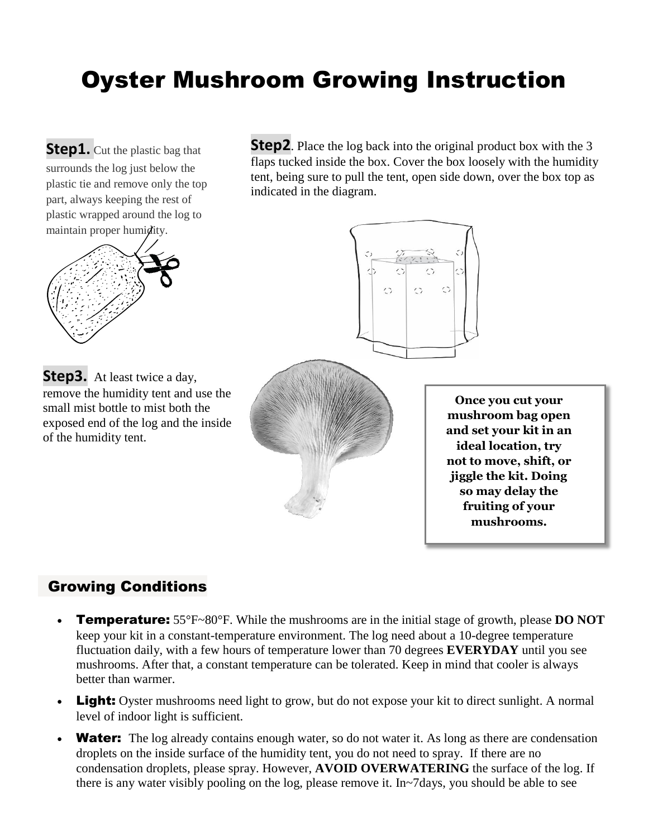# Oyster Mushroom Growing Instruction

**Step2**. Place the log back into the original product box with the 3 **Step1.** Cut the plastic bag that surrounds the log just below the flaps tucked inside the box. Cover the box loosely with the humidity tent, being sure to pull the tent, open side down, over the box top as plastic tie and remove only the top indicated in the diagram. part, always keeping the rest of plastic wrapped around the log to maintain proper humidity.  $\hat{\omega}$  $\hat{\cdot}$ **Step3.** At least twice a day, remove the humidity tent and use the **Once you cut your**  small mist bottle to mist both the **mushroom bag open**  exposed end of the log and the inside **and set your kit in an**  of the humidity tent. **ideal location, try not to move, shift, or jiggle the kit. Doing so may delay the fruiting of your mushrooms.**

#### Growing Conditions

- Temperature: 55°F~80°F. While the mushrooms are in the initial stage of growth, please **DO NOT** keep your kit in a constant-temperature environment. The log need about a 10-degree temperature fluctuation daily, with a few hours of temperature lower than 70 degrees **EVERYDAY** until you see mushrooms. After that, a constant temperature can be tolerated. Keep in mind that cooler is always better than warmer.
- Light: Oyster mushrooms need light to grow, but do not expose your kit to direct sunlight. A normal level of indoor light is sufficient.
- **Water:** The log already contains enough water, so do not water it. As long as there are condensation droplets on the inside surface of the humidity tent, you do not need to spray. If there are no condensation droplets, please spray. However, **AVOID OVERWATERING** the surface of the log. If there is any water visibly pooling on the log, please remove it. In~7days, you should be able to see